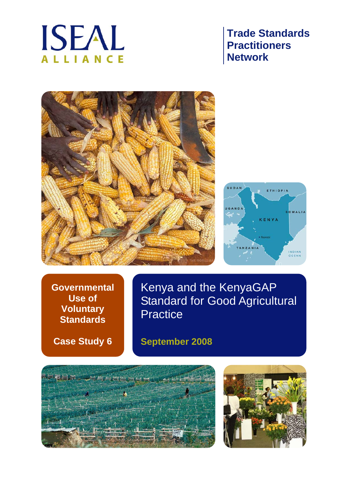

# **Trade Standards Practitioners Network**





**Governmental Use of Voluntary Standards** 

**Case Study 6** 

Kenya and the KenyaGAP Standard for Good Agricultural **Practice** 

**September 2008** 



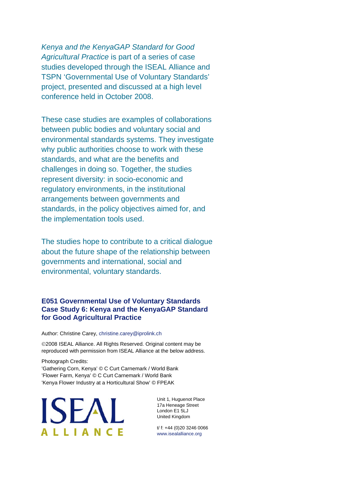*Kenya and the KenyaGAP Standard for Good Agricultural Practice* is part of a series of case studies developed through the ISEAL Alliance and TSPN 'Governmental Use of Voluntary Standards' project, presented and discussed at a high level conference held in October 2008.

These case studies are examples of collaborations between public bodies and voluntary social and environmental standards systems. They investigate why public authorities choose to work with these standards, and what are the benefits and challenges in doing so. Together, the studies represent diversity: in socio-economic and regulatory environments, in the institutional arrangements between governments and standards, in the policy objectives aimed for, and the implementation tools used.

The studies hope to contribute to a critical dialogue about the future shape of the relationship between governments and international, social and environmental, voluntary standards.

### **E051 Governmental Use of Voluntary Standards Case Study 6: Kenya and the KenyaGAP Standard for Good Agricultural Practice**

Author: Christine Carey, christine.carey@iprolink.ch

©2008 ISEAL Alliance. All Rights Reserved. Original content may be reproduced with permission from ISEAL Alliance at the below address.

Photograph Credits: 'Gathering Corn, Kenya' © C Curt Carnemark / World Bank 'Flower Farm, Kenya' © C Curt Carnemark / World Bank 'Kenya Flower Industry at a Horticultural Show' © FPEAK

**ISEAL ALLIANCE** 

Unit 1, Huguenot Place 17a Heneage Street London E1 5LJ United Kingdom

t/ f: +44 (0)20 3246 0066 www.isealalliance.org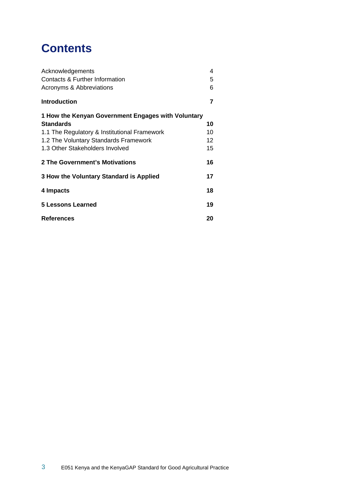# **Contents**

| Acknowledgements                                   | 4  |
|----------------------------------------------------|----|
| Contacts & Further Information                     |    |
| Acronyms & Abbreviations                           |    |
| <b>Introduction</b>                                | 7  |
| 1 How the Kenyan Government Engages with Voluntary |    |
| <b>Standards</b>                                   | 10 |
| 1.1 The Regulatory & Institutional Framework       | 10 |
| 1.2 The Voluntary Standards Framework              | 12 |
| 1.3 Other Stakeholders Involved                    | 15 |
| 2 The Government's Motivations                     | 16 |
| 3 How the Voluntary Standard is Applied            | 17 |
| 4 Impacts                                          | 18 |
| 5 Lessons Learned                                  | 19 |
| <b>References</b>                                  | 20 |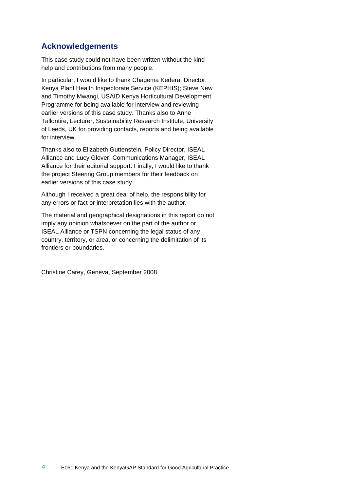## **Acknowledgements**

This case study could not have been written without the kind help and contributions from many people.

In particular, I would like to thank Chagema Kedera, Director, Kenya Plant Health Inspectorate Service (KEPHIS); Steve New and Timothy Mwangi, USAID Kenya Horticultural Development Programme for being available for interview and reviewing earlier versions of this case study. Thanks also to Anne Tallontire, Lecturer, Sustainability Research Institute, University of Leeds, UK for providing contacts, reports and being available for interview.

Thanks also to Elizabeth Guttenstein, Policy Director, ISEAL Alliance and Lucy Glover, Communications Manager, ISEAL Alliance for their editorial support. Finally, I would like to thank the project Steering Group members for their feedback on earlier versions of this case study.

Although I received a great deal of help, the responsibility for any errors or fact or interpretation lies with the author.

The material and geographical designations in this report do not imply any opinion whatsoever on the part of the author or ISEAL Alliance or TSPN concerning the legal status of any country, territory, or area, or concerning the delimitation of its frontiers or boundaries.

Christine Carey, Geneva, September 2008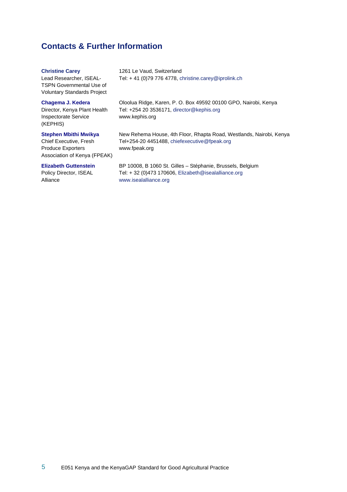## **Contacts & Further Information**

#### **Christine Carey**

1261 Le Vaud, Switzerland Tel: + 41 (0)79 776 4778, christine.carey@iprolink.ch

Lead Researcher, ISEAL-TSPN Governmental Use of Voluntary Standards Project

#### **Chagema J. Kedera**

Director, Kenya Plant Health Inspectorate Service (KEPHIS)

#### **Stephen Mbithi Mwikya**

Chief Executive, Fresh Produce Exporters Association of Kenya (FPEAK)

#### **Elizabeth Guttenstein**

Policy Director, ISEAL Alliance

Oloolua Ridge, Karen, P. O. Box 49592 00100 GPO, Nairobi, Kenya Tel: +254 20 3536171, director@kephis.org www.kephis.org

New Rehema House, 4th Floor, Rhapta Road, Westlands, Nairobi, Kenya Tel+254-20 4451488, chiefexecutive@fpeak.org www.fpeak.org

BP 10008, B 1060 St. Gilles – Stéphanie, Brussels, Belgium Tel: + 32 (0)473 170606, Elizabeth@isealalliance.org www.isealalliance.org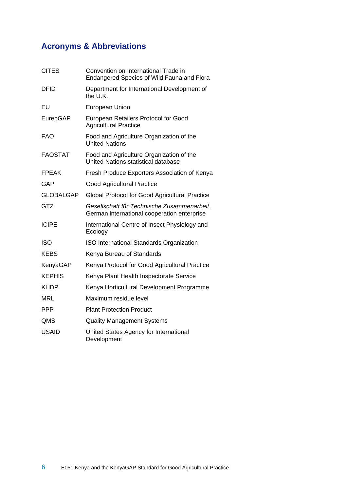## **Acronyms & Abbreviations**

| <b>CITES</b>     | Convention on International Trade in<br>Endangered Species of Wild Fauna and Flora         |
|------------------|--------------------------------------------------------------------------------------------|
| <b>DFID</b>      | Department for International Development of<br>the U.K.                                    |
| EU               | European Union                                                                             |
| EurepGAP         | European Retailers Protocol for Good<br><b>Agricultural Practice</b>                       |
| <b>FAO</b>       | Food and Agriculture Organization of the<br><b>United Nations</b>                          |
| <b>FAOSTAT</b>   | Food and Agriculture Organization of the<br>United Nations statistical database            |
| <b>FPEAK</b>     | Fresh Produce Exporters Association of Kenya                                               |
| GAP              | <b>Good Agricultural Practice</b>                                                          |
| <b>GLOBALGAP</b> | Global Protocol for Good Agricultural Practice                                             |
| <b>GTZ</b>       | Gesellschaft für Technische Zusammenarbeit,<br>German international cooperation enterprise |
| <b>ICIPE</b>     | International Centre of Insect Physiology and<br>Ecology                                   |
| <b>ISO</b>       | ISO International Standards Organization                                                   |
| <b>KEBS</b>      | Kenya Bureau of Standards                                                                  |
| KenyaGAP         | Kenya Protocol for Good Agricultural Practice                                              |
| <b>KEPHIS</b>    | Kenya Plant Health Inspectorate Service                                                    |
| <b>KHDP</b>      | Kenya Horticultural Development Programme                                                  |
| <b>MRL</b>       | Maximum residue level                                                                      |
| <b>PPP</b>       | <b>Plant Protection Product</b>                                                            |
| QMS              | <b>Quality Management Systems</b>                                                          |
| <b>USAID</b>     | United States Agency for International<br>Development                                      |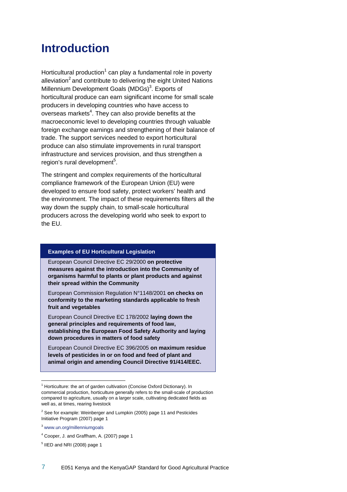# **Introduction**

Horticultural production<sup>1</sup> can play a fundamental role in poverty alleviation<sup>2</sup> and contribute to delivering the eight United Nations Millennium Development Goals (MDGs)<sup>3</sup>. Exports of horticultural produce can earn significant income for small scale producers in developing countries who have access to overseas markets<sup>4</sup>. They can also provide benefits at the macroeconomic level to developing countries through valuable foreign exchange earnings and strengthening of their balance of trade. The support services needed to export horticultural produce can also stimulate improvements in rural transport infrastructure and services provision, and thus strengthen a region's rural development<sup>5</sup>.

The stringent and complex requirements of the horticultural compliance framework of the European Union (EU) were developed to ensure food safety, protect workers' health and the environment. The impact of these requirements filters all the way down the supply chain, to small-scale horticultural producers across the developing world who seek to export to the EU.

#### **Examples of EU Horticultural Legislation**

European Council Directive EC 29/2000 **on protective measures against the introduction into the Community of organisms harmful to plants or plant products and against their spread within the Community** 

European Commission Regulation N°1148/2001 **on checks on conformity to the marketing standards applicable to fresh fruit and vegetables** 

European Council Directive EC 178/2002 **laying down the general principles and requirements of food law, establishing the European Food Safety Authority and laying down procedures in matters of food safety** 

European Council Directive EC 396/2005 **on maximum residue levels of pesticides in or on food and feed of plant and animal origin and amending Council Directive 91/414/EEC.** 

 $1$  Horticulture: the art of garden cultivation (Concise Oxford Dictionary). In commercial production, horticulture generally refers to the small-scale of production compared to agriculture, usually on a larger scale, cultivating dedicated fields as well as, at times, rearing livestock

 $2$  See for example: Weinberger and Lumpkin (2005) page 11 and Pesticides Initiative Program (2007) page 1

<sup>3</sup> www.un.org/millenniumgoals

<sup>&</sup>lt;sup>4</sup> Cooper, J. and Graffham, A. (2007) page 1

 $<sup>5</sup>$  IIED and NRI (2008) page 1</sup>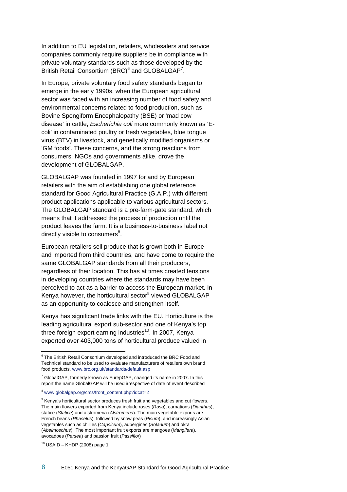In addition to EU legislation, retailers, wholesalers and service companies commonly require suppliers be in compliance with private voluntary standards such as those developed by the British Retail Consortium (BRC) $^6$  and GLOBALGAP<sup>7</sup>.

In Europe, private voluntary food safety standards began to emerge in the early 1990s, when the European agricultural sector was faced with an increasing number of food safety and environmental concerns related to food production, such as Bovine Spongiform Encephalopathy (BSE) or 'mad cow disease' in cattle, *Escherichia coli* more commonly known as 'Ecoli' in contaminated poultry or fresh vegetables, blue tongue virus (BTV) in livestock, and genetically modified organisms or 'GM foods'. These concerns, and the strong reactions from consumers, NGOs and governments alike, drove the development of GLOBALGAP.

GLOBALGAP was founded in 1997 for and by European retailers with the aim of establishing one global reference standard for Good Agricultural Practice (G.A.P.) with different product applications applicable to various agricultural sectors. The GLOBALGAP standard is a pre-farm-gate standard, which means that it addressed the process of production until the product leaves the farm. It is a business-to-business label not directly visible to consumers<sup>8</sup>.

European retailers sell produce that is grown both in Europe and imported from third countries, and have come to require the same GLOBALGAP standards from all their producers, regardless of their location. This has at times created tensions in developing countries where the standards may have been perceived to act as a barrier to access the European market. In Kenya however, the horticultural sector<sup>9</sup> viewed GLOBALGAP as an opportunity to coalesce and strengthen itself.

Kenya has significant trade links with the EU. Horticulture is the leading agricultural export sub-sector and one of Kenya's top three foreign export earning industries<sup>10</sup>. In 2007, Kenya exported over 403,000 tons of horticultural produce valued in

 $6$  The British Retail Consortium developed and introduced the BRC Food and Technical standard to be used to evaluate manufacturers of retailers own brand food products. www.brc.org.uk/standards/default.asp

 $7$  GlobalGAP, formerly known as EurepGAP, changed its name in 2007. In this report the name GlobalGAP will be used irrespective of date of event described

<sup>&</sup>lt;sup>8</sup> www.globalgap.org/cms/front\_content.php?idcat=2

 $9$  Kenya's horticultural sector produces fresh fruit and vegetables and cut flowers. The main flowers exported from Kenya include roses (*Rosa*), carnations (*Dianthus*), statice (*Statice*) and alstromeria (*Alstromeria*). The main vegetable exports are French beans (*Phaselus*), followed by snow peas (*Pisum*), and increasingly Asian vegetables such as chillies (*Capsicum*), aubergines (*Solanum*) and okra (*Abelmoschus*). The most important fruit exports are mangoes (*Mangifera*), avocadoes (*Persea*) and passion fruit (*Passiflor*)

 $10$  USAID – KHDP (2008) page 1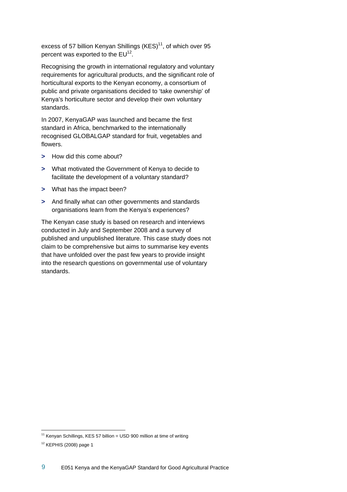excess of 57 billion Kenyan Shillings  $(KES)^{11}$ , of which over 95 percent was exported to the  $EU^{12}$ .

Recognising the growth in international regulatory and voluntary requirements for agricultural products, and the significant role of horticultural exports to the Kenyan economy, a consortium of public and private organisations decided to 'take ownership' of Kenya's horticulture sector and develop their own voluntary standards.

In 2007, KenyaGAP was launched and became the first standard in Africa, benchmarked to the internationally recognised GLOBALGAP standard for fruit, vegetables and flowers.

- **>** How did this come about?
- **>** What motivated the Government of Kenya to decide to facilitate the development of a voluntary standard?
- **>** What has the impact been?
- **>** And finally what can other governments and standards organisations learn from the Kenya's experiences?

The Kenyan case study is based on research and interviews conducted in July and September 2008 and a survey of published and unpublished literature. This case study does not claim to be comprehensive but aims to summarise key events that have unfolded over the past few years to provide insight into the research questions on governmental use of voluntary standards.

<sup>&</sup>lt;sup>11</sup> Kenyan Schillings, KES 57 billion = USD 900 million at time of writing

 $12$  KEPHIS (2008) page 1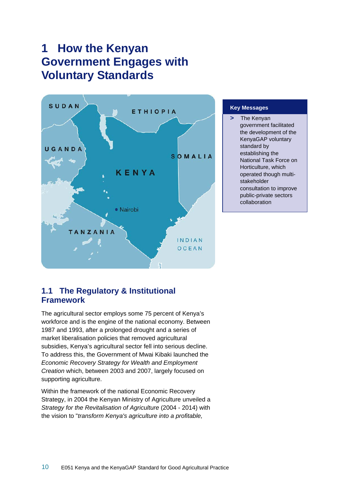# **1 How the Kenyan Government Engages with Voluntary Standards**



#### **Key Messages**

**>** The Kenyan government facilitated the development of the KenyaGAP voluntary standard by establishing the National Task Force on Horticulture, which operated though multistakeholder consultation to improve public-private sectors collaboration

## **1.1 The Regulatory & Institutional Framework**

The agricultural sector employs some 75 percent of Kenya's workforce and is the engine of the national economy. Between 1987 and 1993, after a prolonged drought and a series of market liberalisation policies that removed agricultural subsidies, Kenya's agricultural sector fell into serious decline. To address this, the Government of Mwai Kibaki launched the *Economic Recovery Strategy for Wealth and Employment Creation* which, between 2003 and 2007, largely focused on supporting agriculture.

Within the framework of the national Economic Recovery Strategy, in 2004 the Kenyan Ministry of Agriculture unveiled a *Strategy for the Revitalisation of Agriculture* (2004 - 2014) with the vision to "*transform Kenya's agriculture into a profitable,*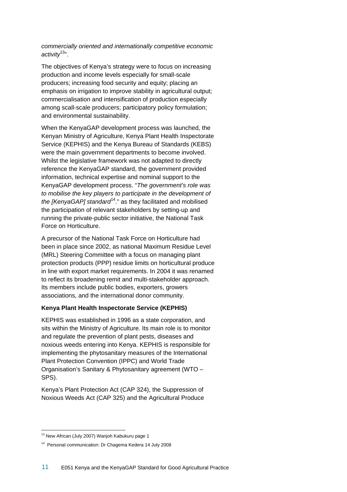*commercially oriented and internationally competitive economic activity*13".

The objectives of Kenya's strategy were to focus on increasing production and income levels especially for small-scale producers; increasing food security and equity; placing an emphasis on irrigation to improve stability in agricultural output; commercialisation and intensification of production especially among scall-scale producers; participatory policy formulation; and environmental sustainability.

When the KenyaGAP development process was launched, the Kenyan Ministry of Agriculture, Kenya Plant Health Inspectorate Service (KEPHIS) and the Kenya Bureau of Standards (KEBS) were the main government departments to become involved. Whilst the legislative framework was not adapted to directly reference the KenyaGAP standard, the government provided information, technical expertise and nominal support to the KenyaGAP development process. "*The government's role was to mobilise the key players to participate in the development of the [KenyaGAP] standard*14." as they facilitated and mobilised the participation of relevant stakeholders by setting-up and running the private-public sector initiative, the National Task Force on Horticulture.

A precursor of the National Task Force on Horticulture had been in place since 2002, as national Maximum Residue Level (MRL) Steering Committee with a focus on managing plant protection products (PPP) residue limits on horticultural produce in line with export market requirements. In 2004 it was renamed to reflect its broadening remit and multi-stakeholder approach. Its members include public bodies, exporters, growers associations, and the international donor community.

### **Kenya Plant Health Inspectorate Service (KEPHIS)**

KEPHIS was established in 1996 as a state corporation, and sits within the Ministry of Agriculture. Its main role is to monitor and regulate the prevention of plant pests, diseases and noxious weeds entering into Kenya. KEPHIS is responsible for implementing the phytosanitary measures of the International Plant Protection Convention (IPPC) and World Trade Organisation's Sanitary & Phytosanitary agreement (WTO – SPS).

Kenya's Plant Protection Act (CAP 324), the Suppression of Noxious Weeds Act (CAP 325) and the Agricultural Produce

 $13$  New African (July 2007) Wanjoh Kabukuru page 1

<sup>14</sup> Personal communication: Dr Chagema Kedera 14 July 2008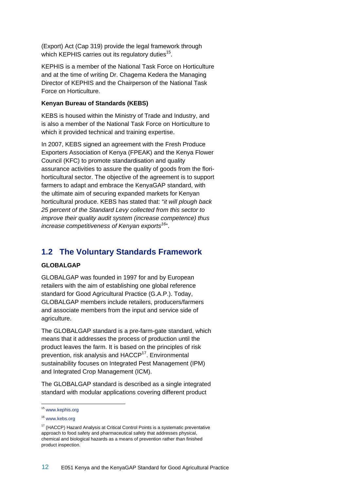(Export) Act (Cap 319) provide the legal framework through which KEPHIS carries out its regulatory duties<sup>15</sup>.

KEPHIS is a member of the National Task Force on Horticulture and at the time of writing Dr. Chagema Kedera the Managing Director of KEPHIS and the Chairperson of the National Task Force on Horticulture.

#### **Kenyan Bureau of Standards (KEBS)**

KEBS is housed within the Ministry of Trade and Industry, and is also a member of the National Task Force on Horticulture to which it provided technical and training expertise.

In 2007, KEBS signed an agreement with the Fresh Produce Exporters Association of Kenya (FPEAK) and the Kenya Flower Council (KFC) to promote standardisation and quality assurance activities to assure the quality of goods from the florihorticultural sector. The objective of the agreement is to support farmers to adapt and embrace the KenyaGAP standard, with the ultimate aim of securing expanded markets for Kenyan horticultural produce. KEBS has stated that: "*it will plough back 25 percent of the Standard Levy collected from this sector to improve their quality audit system (increase competence) thus increase competitiveness of Kenyan exports<sup>16</sup>*".

## **1.2 The Voluntary Standards Framework**

#### **GLOBALGAP**

GLOBALGAP was founded in 1997 for and by European retailers with the aim of establishing one global reference standard for Good Agricultural Practice (G.A.P.). Today, GLOBALGAP members include retailers, producers/farmers and associate members from the input and service side of agriculture.

The GLOBALGAP standard is a pre-farm-gate standard, which means that it addresses the process of production until the product leaves the farm. It is based on the principles of risk prevention, risk analysis and HACCP<sup>17</sup>. Environmental sustainability focuses on Integrated Pest Management (IPM) and Integrated Crop Management (ICM).

The GLOBALGAP standard is described as a single integrated standard with modular applications covering different product

<sup>&</sup>lt;sup>15</sup> www.kephis.org

<sup>16</sup> www.kebs.org

<sup>&</sup>lt;sup>17</sup> (HACCP) Hazard Analysis at Critical Control Points is a systematic preventative approach to food safety and pharmaceutical safety that addresses physical, chemical and biological hazards as a means of prevention rather than finished product inspection.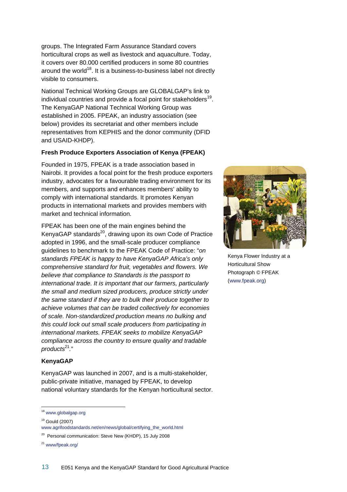groups. The Integrated Farm Assurance Standard covers horticultural crops as well as livestock and aquaculture. Today, it covers over 80.000 certified producers in some 80 countries around the world<sup>18</sup>. It is a business-to-business label not directly visible to consumers.

National Technical Working Groups are GLOBALGAP's link to individual countries and provide a focal point for stakeholders<sup>19</sup>. The KenyaGAP National Technical Working Group was established in 2005. FPEAK, an industry association (see below) provides its secretariat and other members include representatives from KEPHIS and the donor community (DFID and USAID-KHDP).

### **Fresh Produce Exporters Association of Kenya (FPEAK)**

Founded in 1975, FPEAK is a trade association based in Nairobi. It provides a focal point for the fresh produce exporters industry, advocates for a favourable trading environment for its members, and supports and enhances members' ability to comply with international standards. It promotes Kenyan products in international markets and provides members with market and technical information.

FPEAK has been one of the main engines behind the KenyaGAP standards<sup>20</sup>, drawing upon its own Code of Practice adopted in 1996, and the small-scale producer compliance guidelines to benchmark to the FPEAK Code of Practice: "*on standards FPEAK is happy to have KenyaGAP Africa's only comprehensive standard for fruit, vegetables and flowers. We believe that compliance to Standards is the passport to international trade. It is important that our farmers, particularly the small and medium sized producers, produce strictly under the same standard if they are to bulk their produce together to achieve volumes that can be traded collectively for economies of scale. Non-standardized production means no bulking and this could lock out small scale producers from participating in international markets. FPEAK seeks to mobilize KenyaGAP compliance across the country to ensure quality and tradable products*<sup>21</sup>*.*"

### **KenyaGAP**

KenyaGAP was launched in 2007, and is a multi-stakeholder, public-private initiative, managed by FPEAK, to develop national voluntary standards for the Kenyan horticultural sector.

 $\overline{a}$ 

<sup>21</sup> www/fpeak.org/



Kenya Flower Industry at a Horticultural Show Photograph © FPEAK (www.fpeak.org)

<sup>&</sup>lt;sup>18</sup> www.globalgap.org

<sup>19</sup> Gould (2007)

www.agrifoodstandards.net/en/news/global/certifying\_the\_world.html

<sup>&</sup>lt;sup>20</sup> Personal communication: Steve New (KHDP), 15 July 2008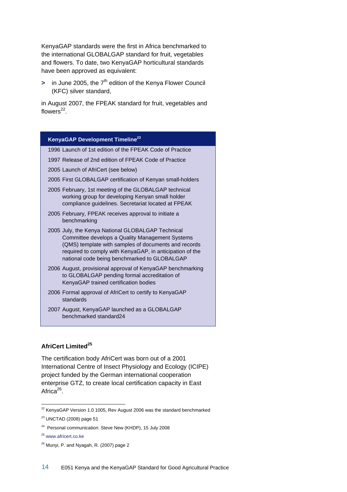KenyaGAP standards were the first in Africa benchmarked to the international GLOBALGAP standard for fruit, vegetables and flowers. To date, two KenyaGAP horticultural standards have been approved as equivalent:

**>** in June 2005, the 7<sup>th</sup> edition of the Kenya Flower Council (KFC) silver standard,

in August 2007, the FPEAK standard for fruit, vegetables and flowers $^{22}$ .

#### **KenyaGAP Development Timeline23**

1996 Launch of 1st edition of the FPEAK Code of Practice

- 1997 Release of 2nd edition of FPEAK Code of Practice
- 2005 Launch of AfriCert (see below)
- 2005 First GLOBALGAP certification of Kenyan small-holders
- 2005 February, 1st meeting of the GLOBALGAP technical working group for developing Kenyan small holder compliance guidelines. Secretariat located at FPEAK
- 2005 February, FPEAK receives approval to initiate a benchmarking
- 2005 July, the Kenya National GLOBALGAP Technical Committee develops a Quality Management Systems (QMS) template with samples of documents and records required to comply with KenyaGAP, in anticipation of the national code being benchmarked to GLOBALGAP
- 2006 August, provisional approval of KenyaGAP benchmarking to GLOBALGAP pending formal accreditation of KenyaGAP trained certification bodies
- 2006 Formal approval of AfriCert to certify to KenyaGAP standards
- 2007 August, KenyaGAP launched as a GLOBALGAP benchmarked standard24

### **AfriCert Limited<sup>25</sup>**

The certification body AfriCert was born out of a 2001 International Centre of Insect Physiology and Ecology (ICIPE) project funded by the German international cooperation enterprise GTZ, to create local certification capacity in East Africa<sup>26</sup>.

 $22$  KenyaGAP Version 1.0 1005, Rev August 2006 was the standard benchmarked

<sup>23</sup> UNCTAD (2008) page 51

<sup>&</sup>lt;sup>24</sup> Personal communication: Steve New (KHDP), 15 July 2008

<sup>25</sup> www.africert.co.ke

<sup>&</sup>lt;sup>26</sup> Munyi, P. and Nyagah, R. (2007) page 2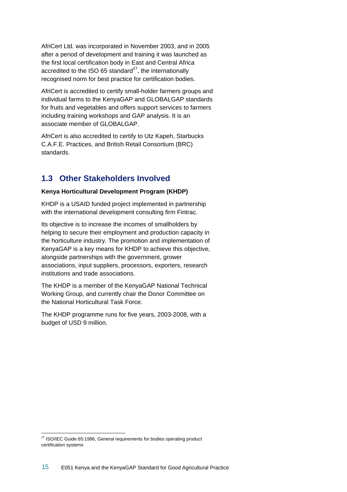AfriCert Ltd. was incorporated in November 2003, and in 2005 after a period of development and training it was launched as the first local certification body in East and Central Africa accredited to the ISO 65 standard $27$ , the internationally recognised norm for best practice for certification bodies.

AfriCert is accredited to certify small-holder farmers groups and individual farms to the KenyaGAP and GLOBALGAP standards for fruits and vegetables and offers support services to farmers including training workshops and GAP analysis. It is an associate member of GLOBALGAP.

AfriCert is also accredited to certify to Utz Kapeh, Starbucks C.A.F.E. Practices, and British Retail Consortium (BRC) standards.

## **1.3 Other Stakeholders Involved**

### **Kenya Horticultural Development Program (KHDP)**

KHDP is a USAID funded project implemented in partnership with the international development consulting firm Fintrac.

Its objective is to increase the incomes of smallholders by helping to secure their employment and production capacity in the horticulture industry. The promotion and implementation of KenyaGAP is a key means for KHDP to achieve this objective, alongside partnerships with the government, grower associations, input suppliers, processors, exporters, research institutions and trade associations.

The KHDP is a member of the KenyaGAP National Technical Working Group, and currently chair the Donor Committee on the National Horticultural Task Force.

The KHDP programme runs for five years, 2003-2008, with a budget of USD 9 million.

 $\overline{a}$  $27$  ISO/IEC Guide 65:1996, General requirements for bodies operating product certification systems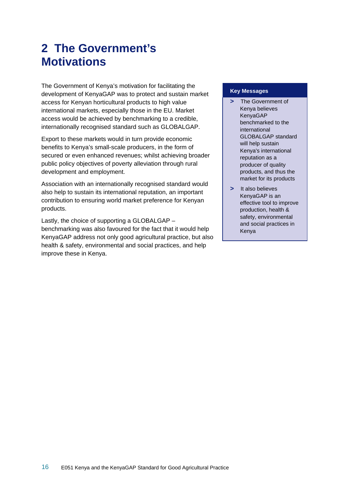# **2 The Government's Motivations**

The Government of Kenya's motivation for facilitating the development of KenyaGAP was to protect and sustain market access for Kenyan horticultural products to high value international markets, especially those in the EU. Market access would be achieved by benchmarking to a credible, internationally recognised standard such as GLOBALGAP.

Export to these markets would in turn provide economic benefits to Kenya's small-scale producers, in the form of secured or even enhanced revenues; whilst achieving broader public policy objectives of poverty alleviation through rural development and employment.

Association with an internationally recognised standard would also help to sustain its international reputation, an important contribution to ensuring world market preference for Kenyan products.

Lastly, the choice of supporting a GLOBALGAP – benchmarking was also favoured for the fact that it would help KenyaGAP address not only good agricultural practice, but also health & safety, environmental and social practices, and help improve these in Kenya.

#### **Key Messages**

- **>** The Government of Kenya believes KenyaGAP benchmarked to the international GLOBALGAP standard will help sustain Kenya's international reputation as a producer of quality products, and thus the market for its products
- **>** It also believes KenyaGAP is an effective tool to improve production, health & safety, environmental and social practices in Kenya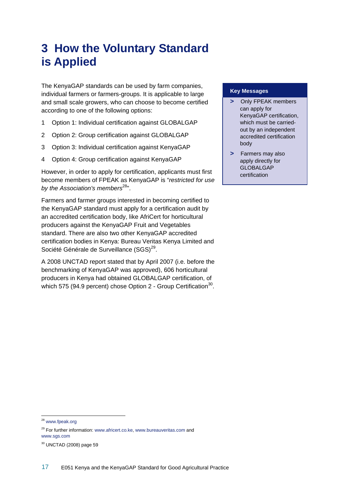# **3 How the Voluntary Standard is Applied**

The KenyaGAP standards can be used by farm companies, individual farmers or farmers-groups. It is applicable to large and small scale growers, who can choose to become certified according to one of the following options:

- 1 Option 1: Individual certification against GLOBALGAP
- 2 Option 2: Group certification against GLOBALGAP
- 3 Option 3: Individual certification against KenyaGAP
- 4 Option 4: Group certification against KenyaGAP

However, in order to apply for certification, applicants must first become members of FPEAK as KenyaGAP is "*restricted for use*  by the Association's members<sup>28</sup>".

Farmers and farmer groups interested in becoming certified to the KenyaGAP standard must apply for a certification audit by an accredited certification body, like AfriCert for horticultural producers against the KenyaGAP Fruit and Vegetables standard. There are also two other KenyaGAP accredited certification bodies in Kenya: Bureau Veritas Kenya Limited and Société Générale de Surveillance (SGS)<sup>29</sup>.

A 2008 UNCTAD report stated that by April 2007 (i.e. before the benchmarking of KenyaGAP was approved), 606 horticultural producers in Kenya had obtained GLOBALGAP certification, of which 575 (94.9 percent) chose Option 2 - Group Certification<sup>30</sup>.

#### **Key Messages**

- **>** Only FPEAK members can apply for KenyaGAP certification, which must be carriedout by an independent accredited certification body
- **>** Farmers may also apply directly for GLOBALGAP certification

<sup>28</sup> www.fpeak.org

<sup>&</sup>lt;sup>29</sup> For further information: www.africert.co.ke, www.bureauveritas.com and www.sgs.com

<sup>30</sup> UNCTAD (2008) page 59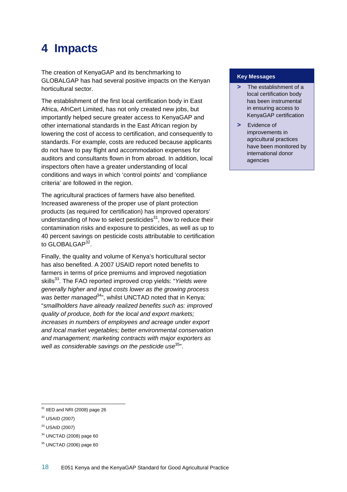# **4 Impacts**

The creation of KenyaGAP and its benchmarking to GLOBALGAP has had several positive impacts on the Kenyan horticultural sector.

The establishment of the first local certification body in East Africa, AfriCert Limited, has not only created new jobs, but importantly helped secure greater access to KenyaGAP and other international standards in the East African region by lowering the cost of access to certification, and consequently to standards. For example, costs are reduced because applicants do not have to pay flight and accommodation expenses for auditors and consultants flown in from abroad. In addition, local inspectors often have a greater understanding of local conditions and ways in which 'control points' and 'compliance criteria' are followed in the region.

The agricultural practices of farmers have also benefited. Increased awareness of the proper use of plant protection products (as required for certification) has improved operators' understanding of how to select pesticides $31$ , how to reduce their contamination risks and exposure to pesticides, as well as up to 40 percent savings on pesticide costs attributable to certification to GLOBALGAP<sup>32</sup>.

Finally, the quality and volume of Kenya's horticultural sector has also benefited. A 2007 USAID report noted benefits to farmers in terms of price premiums and improved negotiation skills<sup>33</sup>. The FAO reported improved crop yields: "Yields were *generally higher and input costs lower as the growing process was better managed*<sup>34</sup>", whilst UNCTAD noted that in Kenya: "*smallholders have already realized benefits such as: improved quality of produce, both for the local and export markets; increases in numbers of employees and acreage under export and local market vegetables; better environmental conservation and management; marketing contracts with major exporters as*  well as considerable savings on the pesticide use<sup>35</sup>".

#### **Key Messages**

- **>** The establishment of a local certification body has been instrumental in ensuring access to KenyaGAP certification
- **>** Evidence of improvements in agricultural practices have been monitored by international donor agencies

 $31$  IIED and NRI (2008) page 26

<sup>32</sup> USAID (2007)

<sup>33</sup> USAID (2007)

<sup>34</sup> UNCTAD (2008) page 60

<sup>35</sup> UNCTAD (2006) page 60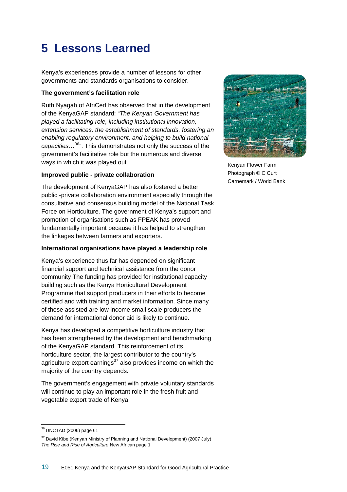# **5 Lessons Learned**

Kenya's experiences provide a number of lessons for other governments and standards organisations to consider.

### **The government's facilitation role**

Ruth Nyagah of AfriCert has observed that in the development of the KenyaGAP standard: "*The Kenyan Government has played a facilitating role, including institutional innovation, extension services, the establishment of standards, fostering an enabling regulatory environment, and helping to build national capacities*…36". This demonstrates not only the success of the government's facilitative role but the numerous and diverse ways in which it was played out.

### **Improved public - private collaboration**

The development of KenyaGAP has also fostered a better public -private collaboration environment especially through the consultative and consensus building model of the National Task Force on Horticulture. The government of Kenya's support and promotion of organisations such as FPEAK has proved fundamentally important because it has helped to strengthen the linkages between farmers and exporters.

### **International organisations have played a leadership role**

Kenya's experience thus far has depended on significant financial support and technical assistance from the donor community The funding has provided for institutional capacity building such as the Kenya Horticultural Development Programme that support producers in their efforts to become certified and with training and market information. Since many of those assisted are low income small scale producers the demand for international donor aid is likely to continue.

Kenya has developed a competitive horticulture industry that has been strengthened by the development and benchmarking of the KenyaGAP standard. This reinforcement of its horticulture sector, the largest contributor to the country's agriculture export earnings $37$  also provides income on which the majority of the country depends.

The government's engagement with private voluntary standards will continue to play an important role in the fresh fruit and vegetable export trade of Kenya.



Kenyan Flower Farm Photograph © C Curt Carnemark / World Bank

<sup>36</sup> UNCTAD (2006) page 61

 $37$  David Kibe (Kenyan Ministry of Planning and National Development) (2007 July) *The Rise and Rise of Agriculture* New African page 1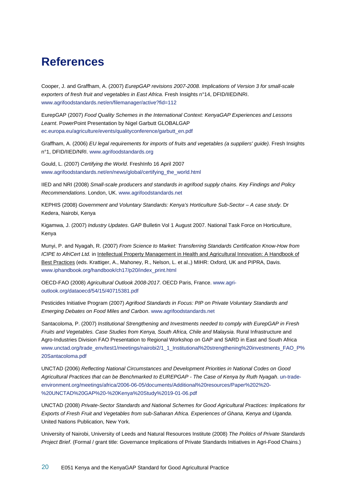# **References**

Cooper, J. and Graffham, A. (2007) *EurepGAP revisions 2007-2008. Implications of Version 3 for small-scale exporters of fresh fruit and vegetables in East Africa*. Fresh Insights n°14, DFID/IIED/NRI. www.agrifoodstandards.net/en/filemanager/active?fid=112

EurepGAP (2007) *Food Quality Schemes in the International Context: KenyaGAP Experiences and Lessons Learnt*. PowerPoint Presentation by Nigel Garbutt GLOBALGAP ec.europa.eu/agriculture/events/qualityconference/garbutt\_en.pdf

Graffham, A. (2006) *EU legal requirements for imports of fruits and vegetables (a suppliers' guide)*. Fresh Insights n°1, DFID/IIED/NRI. www.agrifoodstandards.org

Gould, L. (2007) *Certifying the World*. FreshInfo 16 April 2007 www.agrifoodstandards.net/en/news/global/certifying\_the\_world.html

IIED and NRI (2008) *Small-scale producers and standards in agrifood supply chains. Key Findings and Policy Recommendations*. London, UK. www.agrifoodstandards.net

KEPHIS (2008) *Government and Voluntary Standards: Kenya's Horticulture Sub-Sector – A case study*. Dr Kedera, Nairobi, Kenya

Kigamwa, J. (2007) *Industry Updates*. GAP Bulletin Vol 1 August 2007. National Task Force on Horticulture, Kenya

Munyi, P. and Nyagah, R. (2007) *From Science to Market: Transferring Standards Certification Know-How from ICIPE to AfriCert Ltd.* in Intellectual Property Management in Health and Agricultural Innovation: A Handbook of Best Practices (eds. Krattiger, A., Mahoney, R., Nelson, L. et al.,) MIHR: Oxford, UK and PIPRA, Davis. www.iphandbook.org/handbook/ch17/p20/index\_print.html

OECD-FAO (2008) *Agricultural Outlook 2008-2017*. OECD Paris, France. www.agrioutlook.org/dataoecd/54/15/40715381.pdf

Pesticides Initiative Program (2007) *Agrifood Standards in Focus: PIP on Private Voluntary Standards and Emerging Debates on Food Miles and Carbon*. www.agrifoodstandards.net

Santacoloma, P. (2007) *Institutional Strengthening and Investments needed to comply with EurepGAP in Fresh Fruits and Vegetables. Case Studies from Kenya, South Africa, Chile and Malaysia*. Rural Infrastructure and Agro-Industries Division FAO Presentation to Regional Workshop on GAP and SARD in East and South Africa www.unctad.org/trade\_env/test1/meetings/nairobi2/1\_1\_Institutional%20strengthening%20investments\_FAO\_P% 20Santacoloma.pdf

UNCTAD (2006) *Reflecting National Circumstances and Development Priorities in National Codes on Good Agricultural Practices that can be Benchmarked to EUREPGAP - The Case of Kenya by Ruth Nyagah*. un-tradeenvironment.org/meetings/africa/2006-06-05/documents/Additional%20resources/Paper%202%20- %20UNCTAD%20GAP%20-%20Kenya%20Study%2019-01-06.pdf

UNCTAD (2008) *Private-Sector Standards and National Schemes for Good Agricultural Practices: Implications for Exports of Fresh Fruit and Vegetables from sub-Saharan Africa. Experiences of Ghana, Kenya and Uganda*. United Nations Publication, New York.

University of Nairobi, University of Leeds and Natural Resources Institute (2008) *The Politics of Private Standards Project Brief*. (Formal / grant title: Governance Implications of Private Standards Initiatives in Agri-Food Chains.)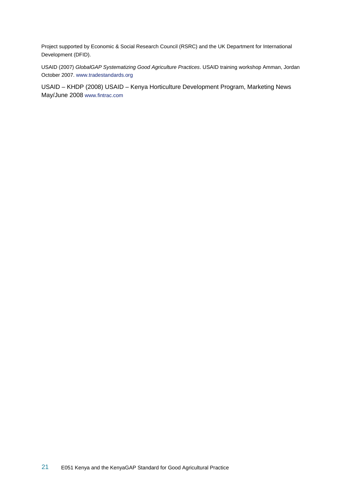Project supported by Economic & Social Research Council (RSRC) and the UK Department for International Development (DFID).

USAID (2007) *GlobalGAP Systematizing Good Agriculture Practices*. USAID training workshop Amman, Jordan October 2007. www.tradestandards.org

USAID – KHDP (2008) USAID – Kenya Horticulture Development Program, Marketing News May/June 2008 www.fintrac.com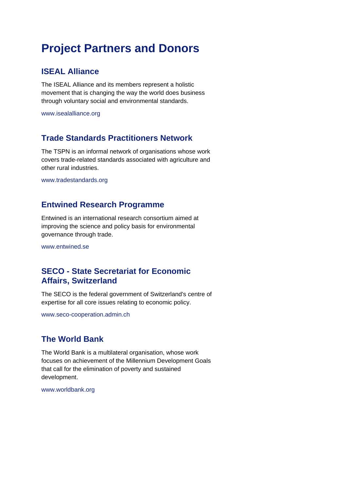# **Project Partners and Donors**

## **ISEAL Alliance**

The ISEAL Alliance and its members represent a holistic movement that is changing the way the world does business through voluntary social and environmental standards.

www.isealalliance.org

## **Trade Standards Practitioners Network**

The TSPN is an informal network of organisations whose work covers trade-related standards associated with agriculture and other rural industries.

www.tradestandards.org

## **Entwined Research Programme**

Entwined is an international research consortium aimed at improving the science and policy basis for environmental governance through trade.

www.entwined.se

## **SECO - State Secretariat for Economic Affairs, Switzerland**

The SECO is the federal government of Switzerland's centre of expertise for all core issues relating to economic policy.

www.seco-cooperation.admin.ch

## **The World Bank**

The World Bank is a multilateral organisation, whose work focuses on achievement of the Millennium Development Goals that call for the elimination of poverty and sustained development.

www.worldbank.org